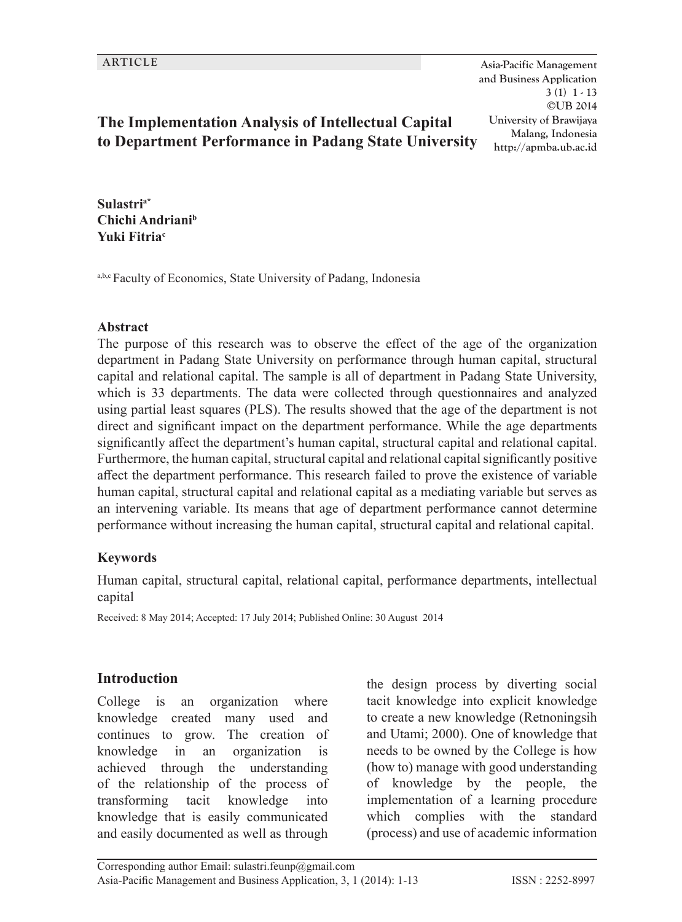**ARTICLE Asia-Pacific Management and Business Application 3 (1) 1 - 13 ©UB 2014 University of Brawijaya Malang, Indonesia http://apmba.ub.ac.id**

## **The Implementation Analysis of Intellectual Capital to Department Performance in Padang State University**

**Sulastria\* Chichi Andrianib Yuki Fitria<sup>c</sup>**

a,b,c Faculty of Economics, State University of Padang, Indonesia

#### **Abstract**

The purpose of this research was to observe the effect of the age of the organization department in Padang State University on performance through human capital, structural capital and relational capital. The sample is all of department in Padang State University, which is 33 departments. The data were collected through questionnaires and analyzed using partial least squares (PLS). The results showed that the age of the department is not direct and significant impact on the department performance. While the age departments significantly affect the department's human capital, structural capital and relational capital. Furthermore, the human capital, structural capital and relational capital significantly positive affect the department performance. This research failed to prove the existence of variable human capital, structural capital and relational capital as a mediating variable but serves as an intervening variable. Its means that age of department performance cannot determine performance without increasing the human capital, structural capital and relational capital.

#### **Keywords**

Human capital, structural capital, relational capital, performance departments, intellectual capital

Received: 8 May 2014; Accepted: 17 July 2014; Published Online: 30 August 2014

#### **Introduction**

College is an organization where knowledge created many used and continues to grow. The creation of knowledge in an organization is achieved through the understanding of the relationship of the process of transforming tacit knowledge into knowledge that is easily communicated and easily documented as well as through the design process by diverting social tacit knowledge into explicit knowledge to create a new knowledge (Retnoningsih and Utami; 2000). One of knowledge that needs to be owned by the College is how (how to) manage with good understanding of knowledge by the people, the implementation of a learning procedure which complies with the standard (process) and use of academic information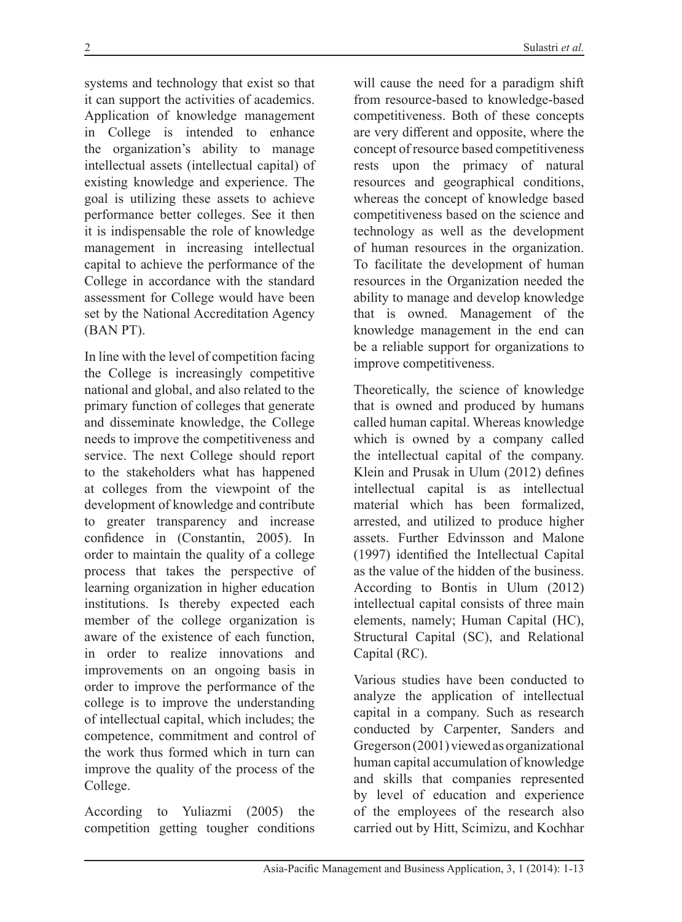systems and technology that exist so that it can support the activities of academics. Application of knowledge management in College is intended to enhance the organization's ability to manage intellectual assets (intellectual capital) of existing knowledge and experience. The goal is utilizing these assets to achieve performance better colleges. See it then it is indispensable the role of knowledge management in increasing intellectual capital to achieve the performance of the College in accordance with the standard assessment for College would have been set by the National Accreditation Agency (BAN PT).

In line with the level of competition facing the College is increasingly competitive national and global, and also related to the primary function of colleges that generate and disseminate knowledge, the College needs to improve the competitiveness and service. The next College should report to the stakeholders what has happened at colleges from the viewpoint of the development of knowledge and contribute to greater transparency and increase confidence in (Constantin, 2005). In order to maintain the quality of a college process that takes the perspective of learning organization in higher education institutions. Is thereby expected each member of the college organization is aware of the existence of each function, in order to realize innovations and improvements on an ongoing basis in order to improve the performance of the college is to improve the understanding of intellectual capital, which includes; the competence, commitment and control of the work thus formed which in turn can improve the quality of the process of the College.

According to Yuliazmi (2005) the competition getting tougher conditions

will cause the need for a paradigm shift from resource-based to knowledge-based competitiveness. Both of these concepts are very different and opposite, where the concept of resource based competitiveness rests upon the primacy of natural resources and geographical conditions, whereas the concept of knowledge based competitiveness based on the science and technology as well as the development of human resources in the organization. To facilitate the development of human resources in the Organization needed the ability to manage and develop knowledge that is owned. Management of the knowledge management in the end can be a reliable support for organizations to improve competitiveness.

Theoretically, the science of knowledge that is owned and produced by humans called human capital. Whereas knowledge which is owned by a company called the intellectual capital of the company. Klein and Prusak in Ulum (2012) defines intellectual capital is as intellectual material which has been formalized, arrested, and utilized to produce higher assets. Further Edvinsson and Malone (1997) identified the Intellectual Capital as the value of the hidden of the business. According to Bontis in Ulum (2012) intellectual capital consists of three main elements, namely; Human Capital (HC), Structural Capital (SC), and Relational Capital (RC).

Various studies have been conducted to analyze the application of intellectual capital in a company. Such as research conducted by Carpenter, Sanders and Gregerson (2001) viewed as organizational human capital accumulation of knowledge and skills that companies represented by level of education and experience of the employees of the research also carried out by Hitt, Scimizu, and Kochhar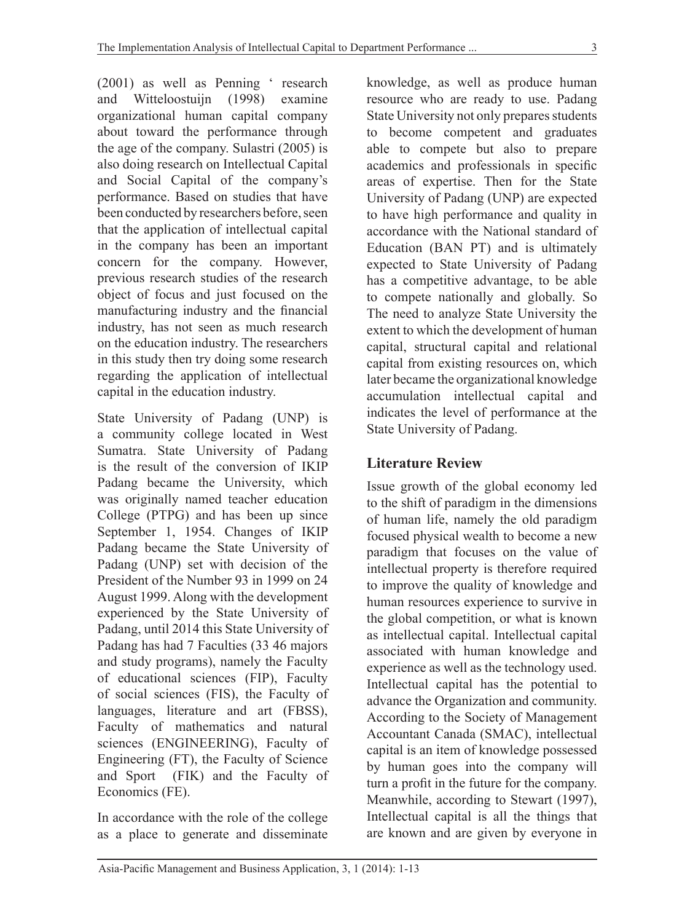(2001) as well as Penning ' research and Witteloostuijn (1998) examine organizational human capital company about toward the performance through the age of the company. Sulastri (2005) is also doing research on Intellectual Capital and Social Capital of the company's performance. Based on studies that have been conducted by researchers before, seen that the application of intellectual capital in the company has been an important concern for the company. However, previous research studies of the research object of focus and just focused on the manufacturing industry and the financial industry, has not seen as much research on the education industry. The researchers in this study then try doing some research regarding the application of intellectual capital in the education industry.

State University of Padang (UNP) is a community college located in West Sumatra. State University of Padang is the result of the conversion of IKIP Padang became the University, which was originally named teacher education College (PTPG) and has been up since September 1, 1954. Changes of IKIP Padang became the State University of Padang (UNP) set with decision of the President of the Number 93 in 1999 on 24 August 1999. Along with the development experienced by the State University of Padang, until 2014 this State University of Padang has had 7 Faculties (33 46 majors and study programs), namely the Faculty of educational sciences (FIP), Faculty of social sciences (FIS), the Faculty of languages, literature and art (FBSS), Faculty of mathematics and natural sciences (ENGINEERING), Faculty of Engineering (FT), the Faculty of Science and Sport (FIK) and the Faculty of Economics (FE).

In accordance with the role of the college as a place to generate and disseminate knowledge, as well as produce human resource who are ready to use. Padang State University not only prepares students to become competent and graduates able to compete but also to prepare academics and professionals in specific areas of expertise. Then for the State University of Padang (UNP) are expected to have high performance and quality in accordance with the National standard of Education (BAN PT) and is ultimately expected to State University of Padang has a competitive advantage, to be able to compete nationally and globally. So The need to analyze State University the extent to which the development of human capital, structural capital and relational capital from existing resources on, which later became the organizational knowledge accumulation intellectual capital and indicates the level of performance at the State University of Padang.

## **Literature Review**

Issue growth of the global economy led to the shift of paradigm in the dimensions of human life, namely the old paradigm focused physical wealth to become a new paradigm that focuses on the value of intellectual property is therefore required to improve the quality of knowledge and human resources experience to survive in the global competition, or what is known as intellectual capital. Intellectual capital associated with human knowledge and experience as well as the technology used. Intellectual capital has the potential to advance the Organization and community. According to the Society of Management Accountant Canada (SMAC), intellectual capital is an item of knowledge possessed by human goes into the company will turn a profit in the future for the company. Meanwhile, according to Stewart (1997), Intellectual capital is all the things that are known and are given by everyone in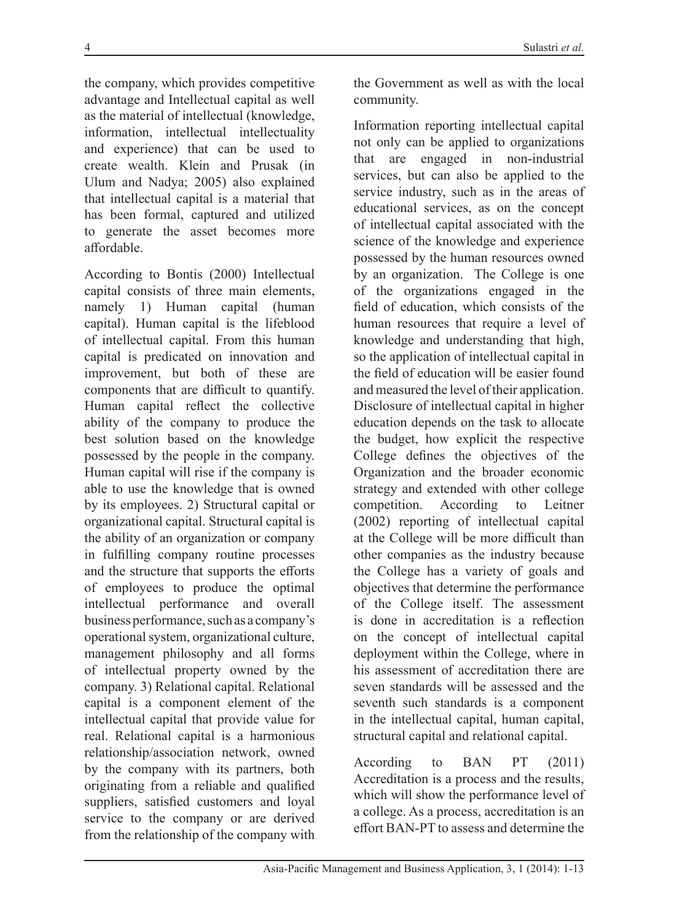the company, which provides competitive advantage and Intellectual capital as well as the material of intellectual (knowledge, information, intellectual intellectuality and experience) that can be used to create wealth. Klein and Prusak (in Ulum and Nadya; 2005) also explained that intellectual capital is a material that has been formal, captured and utilized to generate the asset becomes more affordable.

According to Bontis (2000) Intellectual capital consists of three main elements, namely 1) Human capital (human capital). Human capital is the lifeblood of intellectual capital. From this human capital is predicated on innovation and improvement, but both of these are components that are difficult to quantify. Human capital reflect the collective ability of the company to produce the best solution based on the knowledge possessed by the people in the company. Human capital will rise if the company is able to use the knowledge that is owned by its employees. 2) Structural capital or organizational capital. Structural capital is the ability of an organization or company in fulfilling company routine processes and the structure that supports the efforts of employees to produce the optimal intellectual performance and overall business performance, such as a company's operational system, organizational culture, management philosophy and all forms of intellectual property owned by the company. 3) Relational capital. Relational capital is a component element of the intellectual capital that provide value for real. Relational capital is a harmonious relationship/association network, owned by the company with its partners, both originating from a reliable and qualified suppliers, satisfied customers and loyal service to the company or are derived from the relationship of the company with

the Government as well as with the local community.

Information reporting intellectual capital not only can be applied to organizations that are engaged in non-industrial services, but can also be applied to the service industry, such as in the areas of educational services, as on the concept of intellectual capital associated with the science of the knowledge and experience possessed by the human resources owned by an organization. The College is one of the organizations engaged in the field of education, which consists of the human resources that require a level of knowledge and understanding that high, so the application of intellectual capital in the field of education will be easier found and measured the level of their application. Disclosure of intellectual capital in higher education depends on the task to allocate the budget, how explicit the respective College defines the objectives of the Organization and the broader economic strategy and extended with other college competition. According to Leitner (2002) reporting of intellectual capital at the College will be more difficult than other companies as the industry because the College has a variety of goals and objectives that determine the performance of the College itself. The assessment is done in accreditation is a reflection on the concept of intellectual capital deployment within the College, where in his assessment of accreditation there are seven standards will be assessed and the seventh such standards is a component in the intellectual capital, human capital, structural capital and relational capital.

According to BAN PT (2011) Accreditation is a process and the results, which will show the performance level of a college. As a process, accreditation is an effort BAN-PT to assess and determine the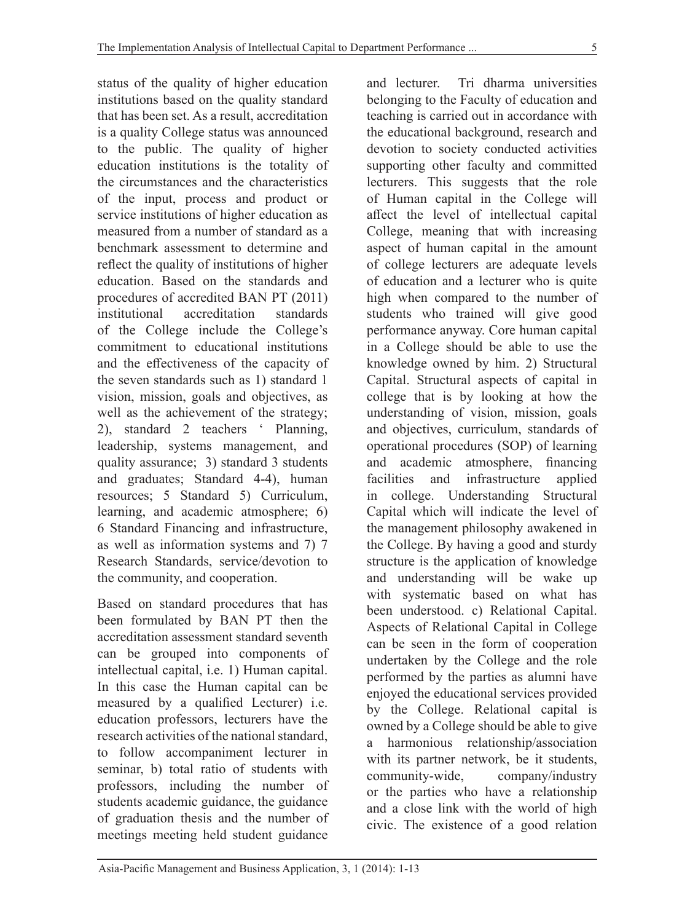status of the quality of higher education institutions based on the quality standard that has been set. As a result, accreditation is a quality College status was announced to the public. The quality of higher education institutions is the totality of the circumstances and the characteristics of the input, process and product or service institutions of higher education as measured from a number of standard as a benchmark assessment to determine and reflect the quality of institutions of higher education. Based on the standards and procedures of accredited BAN PT (2011) institutional accreditation standards of the College include the College's commitment to educational institutions and the effectiveness of the capacity of the seven standards such as 1) standard 1 vision, mission, goals and objectives, as well as the achievement of the strategy; 2), standard 2 teachers ' Planning, leadership, systems management, and quality assurance; 3) standard 3 students and graduates; Standard 4-4), human resources; 5 Standard 5) Curriculum, learning, and academic atmosphere; 6) 6 Standard Financing and infrastructure, as well as information systems and 7) 7 Research Standards, service/devotion to the community, and cooperation.

Based on standard procedures that has been formulated by BAN PT then the accreditation assessment standard seventh can be grouped into components of intellectual capital, i.e. 1) Human capital. In this case the Human capital can be measured by a qualified Lecturer) i.e. education professors, lecturers have the research activities of the national standard, to follow accompaniment lecturer in seminar, b) total ratio of students with professors, including the number of students academic guidance, the guidance of graduation thesis and the number of meetings meeting held student guidance

and lecturer. Tri dharma universities belonging to the Faculty of education and teaching is carried out in accordance with the educational background, research and devotion to society conducted activities supporting other faculty and committed lecturers. This suggests that the role of Human capital in the College will affect the level of intellectual capital College, meaning that with increasing aspect of human capital in the amount of college lecturers are adequate levels of education and a lecturer who is quite high when compared to the number of students who trained will give good performance anyway. Core human capital in a College should be able to use the knowledge owned by him. 2) Structural Capital. Structural aspects of capital in college that is by looking at how the understanding of vision, mission, goals and objectives, curriculum, standards of operational procedures (SOP) of learning and academic atmosphere, financing facilities and infrastructure applied in college. Understanding Structural Capital which will indicate the level of the management philosophy awakened in the College. By having a good and sturdy structure is the application of knowledge and understanding will be wake up with systematic based on what has been understood. c) Relational Capital. Aspects of Relational Capital in College can be seen in the form of cooperation undertaken by the College and the role performed by the parties as alumni have enjoyed the educational services provided by the College. Relational capital is owned by a College should be able to give a harmonious relationship/association with its partner network, be it students, community-wide, company/industry or the parties who have a relationship and a close link with the world of high civic. The existence of a good relation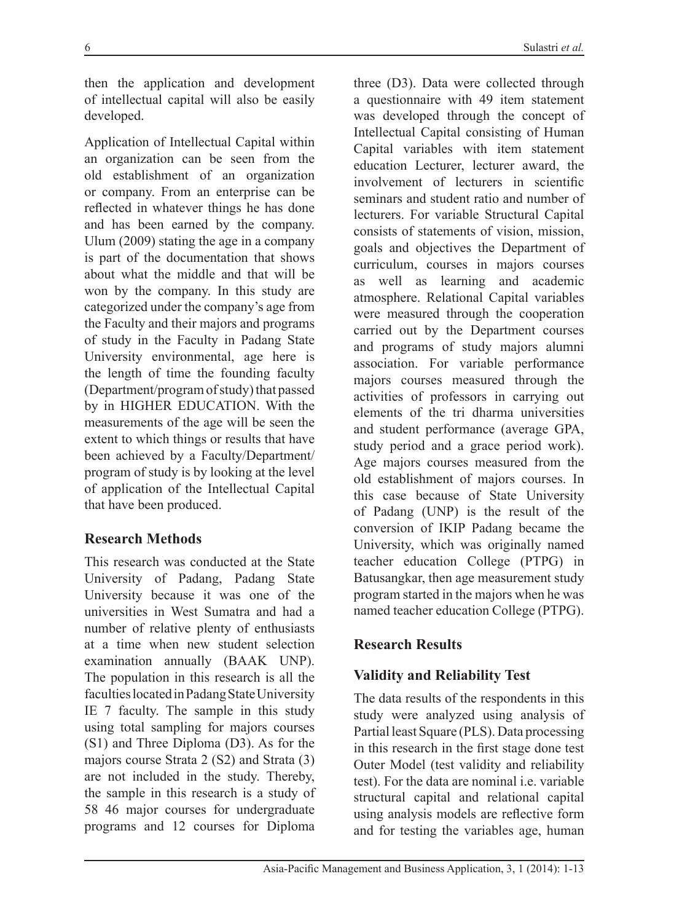then the application and development of intellectual capital will also be easily developed.

Application of Intellectual Capital within an organization can be seen from the old establishment of an organization or company. From an enterprise can be reflected in whatever things he has done and has been earned by the company. Ulum (2009) stating the age in a company is part of the documentation that shows about what the middle and that will be won by the company. In this study are categorized under the company's age from the Faculty and their majors and programs of study in the Faculty in Padang State University environmental, age here is the length of time the founding faculty (Department/program of study) that passed by in HIGHER EDUCATION. With the measurements of the age will be seen the extent to which things or results that have been achieved by a Faculty/Department/ program of study is by looking at the level of application of the Intellectual Capital that have been produced.

## **Research Methods**

This research was conducted at the State University of Padang, Padang State University because it was one of the universities in West Sumatra and had a number of relative plenty of enthusiasts at a time when new student selection examination annually (BAAK UNP). The population in this research is all the faculties located in Padang State University IE 7 faculty. The sample in this study using total sampling for majors courses (S1) and Three Diploma (D3). As for the majors course Strata 2 (S2) and Strata (3) are not included in the study. Thereby, the sample in this research is a study of 58 46 major courses for undergraduate programs and 12 courses for Diploma

three (D3). Data were collected through a questionnaire with 49 item statement was developed through the concept of Intellectual Capital consisting of Human Capital variables with item statement education Lecturer, lecturer award, the involvement of lecturers in scientific seminars and student ratio and number of lecturers. For variable Structural Capital consists of statements of vision, mission, goals and objectives the Department of curriculum, courses in majors courses as well as learning and academic atmosphere. Relational Capital variables were measured through the cooperation carried out by the Department courses and programs of study majors alumni association. For variable performance majors courses measured through the activities of professors in carrying out elements of the tri dharma universities and student performance (average GPA, study period and a grace period work). Age majors courses measured from the old establishment of majors courses. In this case because of State University of Padang (UNP) is the result of the conversion of IKIP Padang became the University, which was originally named teacher education College (PTPG) in Batusangkar, then age measurement study program started in the majors when he was named teacher education College (PTPG).

## **Research Results**

## **Validity and Reliability Test**

The data results of the respondents in this study were analyzed using analysis of Partial least Square (PLS). Data processing in this research in the first stage done test Outer Model (test validity and reliability test). For the data are nominal i.e. variable structural capital and relational capital using analysis models are reflective form and for testing the variables age, human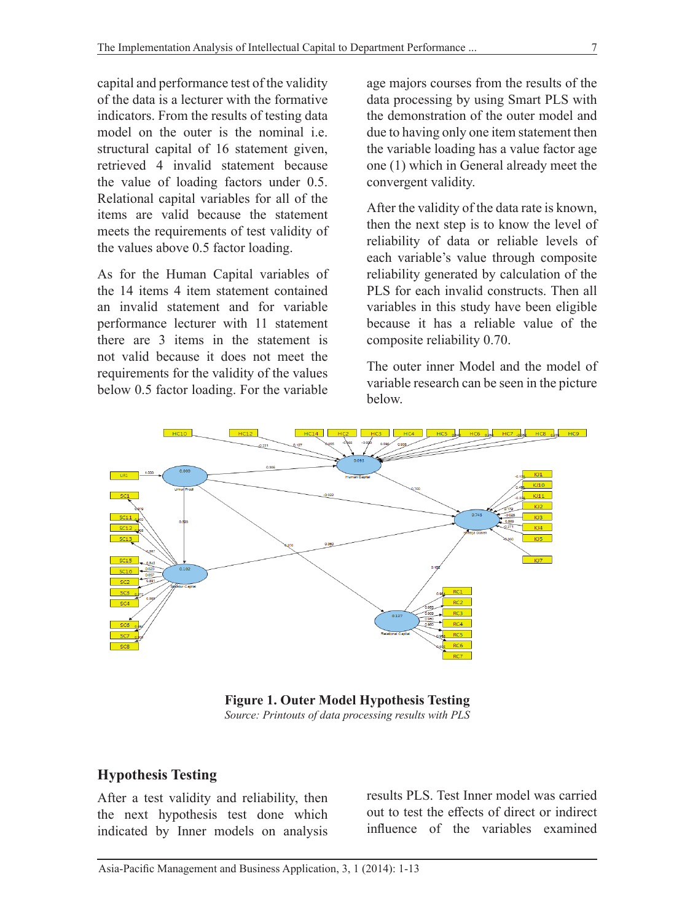capital and performance test of the validity of the data is a lecturer with the formative indicators. From the results of testing data model on the outer is the nominal i.e. structural capital of 16 statement given, retrieved 4 invalid statement because the value of loading factors under 0.5. Relational capital variables for all of the items are valid because the statement meets the requirements of test validity of the values above 0.5 factor loading.

As for the Human Capital variables of the 14 items 4 item statement contained an invalid statement and for variable performance lecturer with 11 statement there are 3 items in the statement is not valid because it does not meet the requirements for the validity of the values below 0.5 factor loading. For the variable

age majors courses from the results of the data processing by using Smart PLS with the demonstration of the outer model and due to having only one item statement then the variable loading has a value factor age one (1) which in General already meet the convergent validity.

After the validity of the data rate is known, then the next step is to know the level of reliability of data or reliable levels of each variable's value through composite reliability generated by calculation of the PLS for each invalid constructs. Then all variables in this study have been eligible because it has a reliable value of the composite reliability 0.70.

The outer inner Model and the model of variable research can be seen in the picture below.



**Figure 1. Outer Model Hypothesis Testing** *Source: Printouts of data processing results with PLS*

## **Hypothesis Testing**

After a test validity and reliability, then the next hypothesis test done which indicated by Inner models on analysis results PLS. Test Inner model was carried out to test the effects of direct or indirect influence of the variables examined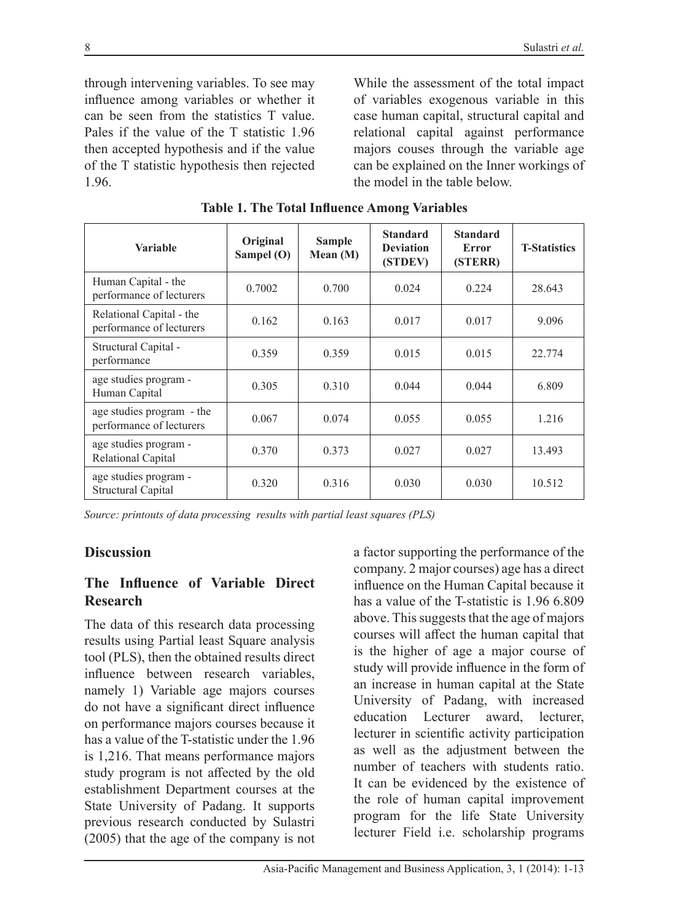through intervening variables. To see may influence among variables or whether it can be seen from the statistics T value. Pales if the value of the T statistic 1.96 then accepted hypothesis and if the value of the T statistic hypothesis then rejected 1.96.

While the assessment of the total impact of variables exogenous variable in this case human capital, structural capital and relational capital against performance majors couses through the variable age can be explained on the Inner workings of the model in the table below.

| <b>Variable</b>                                       | Original<br>Sampel (O) | <b>Sample</b><br>Mean $(M)$ | <b>Standard</b><br><b>Deviation</b><br>(STDEV) | <b>Standard</b><br>Error<br>(STERR) | <b>T-Statistics</b> |
|-------------------------------------------------------|------------------------|-----------------------------|------------------------------------------------|-------------------------------------|---------------------|
| Human Capital - the<br>performance of lecturers       | 0.7002                 | 0.700                       | 0.024                                          | 0.224                               | 28.643              |
| Relational Capital - the<br>performance of lecturers  | 0.162                  | 0.163                       | 0.017                                          | 0.017                               | 9.096               |
| Structural Capital -<br>performance                   | 0.359                  | 0.359                       | 0.015                                          | 0.015                               | 22.774              |
| age studies program -<br>Human Capital                | 0.305                  | 0.310                       | 0.044                                          | 0.044                               | 6.809               |
| age studies program - the<br>performance of lecturers | 0.067                  | 0.074                       | 0.055                                          | 0.055                               | 1.216               |
| age studies program -<br>Relational Capital           | 0.370                  | 0.373                       | 0.027                                          | 0.027                               | 13.493              |
| age studies program -<br><b>Structural Capital</b>    | 0.320                  | 0.316                       | 0.030                                          | 0.030                               | 10.512              |

**Table 1. The Total Influence Among Variables**

*Source: printouts of data processing results with partial least squares (PLS)* 

## **Discussion**

## **The Influence of Variable Direct Research**

The data of this research data processing results using Partial least Square analysis tool (PLS), then the obtained results direct influence between research variables, namely 1) Variable age majors courses do not have a significant direct influence on performance majors courses because it has a value of the T-statistic under the 1.96 is 1,216. That means performance majors study program is not affected by the old establishment Department courses at the State University of Padang. It supports previous research conducted by Sulastri (2005) that the age of the company is not

a factor supporting the performance of the company. 2 major courses) age has a direct influence on the Human Capital because it has a value of the T-statistic is 1.96 6.809 above. This suggests that the age of majors courses will affect the human capital that is the higher of age a major course of study will provide influence in the form of an increase in human capital at the State University of Padang, with increased education Lecturer award, lecturer, lecturer in scientific activity participation as well as the adjustment between the number of teachers with students ratio. It can be evidenced by the existence of the role of human capital improvement program for the life State University lecturer Field i.e. scholarship programs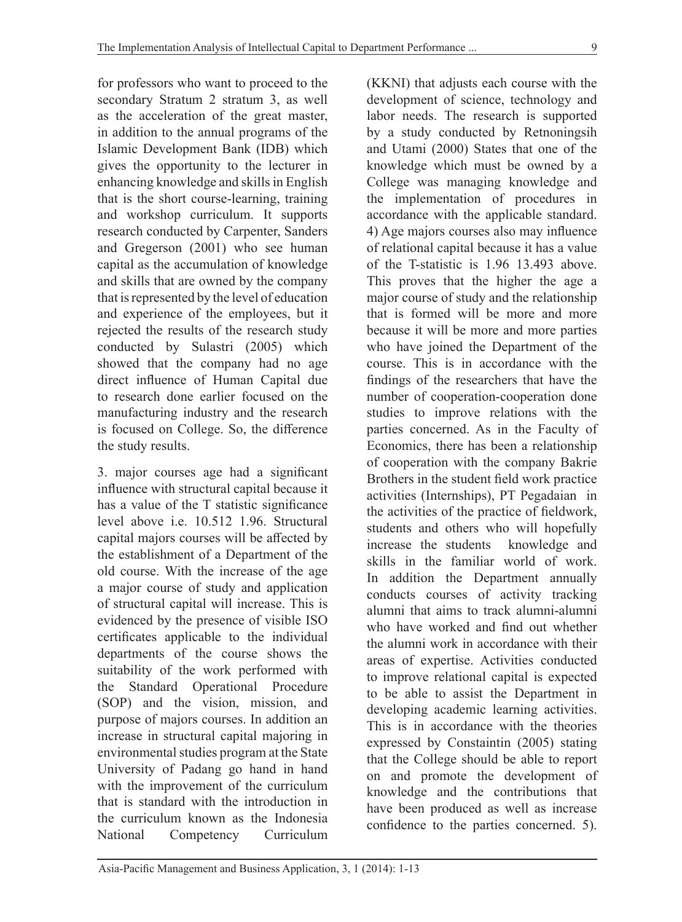for professors who want to proceed to the secondary Stratum 2 stratum 3, as well as the acceleration of the great master, in addition to the annual programs of the Islamic Development Bank (IDB) which gives the opportunity to the lecturer in enhancing knowledge and skills in English that is the short course-learning, training and workshop curriculum. It supports research conducted by Carpenter, Sanders and Gregerson (2001) who see human capital as the accumulation of knowledge and skills that are owned by the company that is represented by the level of education and experience of the employees, but it rejected the results of the research study conducted by Sulastri (2005) which showed that the company had no age direct influence of Human Capital due to research done earlier focused on the manufacturing industry and the research is focused on College. So, the difference the study results.

3. major courses age had a significant influence with structural capital because it has a value of the T statistic significance level above i.e. 10.512 1.96. Structural capital majors courses will be affected by the establishment of a Department of the old course. With the increase of the age a major course of study and application of structural capital will increase. This is evidenced by the presence of visible ISO certificates applicable to the individual departments of the course shows the suitability of the work performed with the Standard Operational Procedure (SOP) and the vision, mission, and purpose of majors courses. In addition an increase in structural capital majoring in environmental studies program at the State University of Padang go hand in hand with the improvement of the curriculum that is standard with the introduction in the curriculum known as the Indonesia National Competency Curriculum

(KKNI) that adjusts each course with the development of science, technology and labor needs. The research is supported by a study conducted by Retnoningsih and Utami (2000) States that one of the knowledge which must be owned by a College was managing knowledge and the implementation of procedures in accordance with the applicable standard. 4) Age majors courses also may influence of relational capital because it has a value of the T-statistic is 1.96 13.493 above. This proves that the higher the age a major course of study and the relationship that is formed will be more and more because it will be more and more parties who have joined the Department of the course. This is in accordance with the findings of the researchers that have the number of cooperation-cooperation done studies to improve relations with the parties concerned. As in the Faculty of Economics, there has been a relationship of cooperation with the company Bakrie Brothers in the student field work practice activities (Internships), PT Pegadaian in the activities of the practice of fieldwork, students and others who will hopefully increase the students knowledge and skills in the familiar world of work. In addition the Department annually conducts courses of activity tracking alumni that aims to track alumni-alumni who have worked and find out whether the alumni work in accordance with their areas of expertise. Activities conducted to improve relational capital is expected to be able to assist the Department in developing academic learning activities. This is in accordance with the theories expressed by Constaintin (2005) stating that the College should be able to report on and promote the development of knowledge and the contributions that have been produced as well as increase confidence to the parties concerned. 5).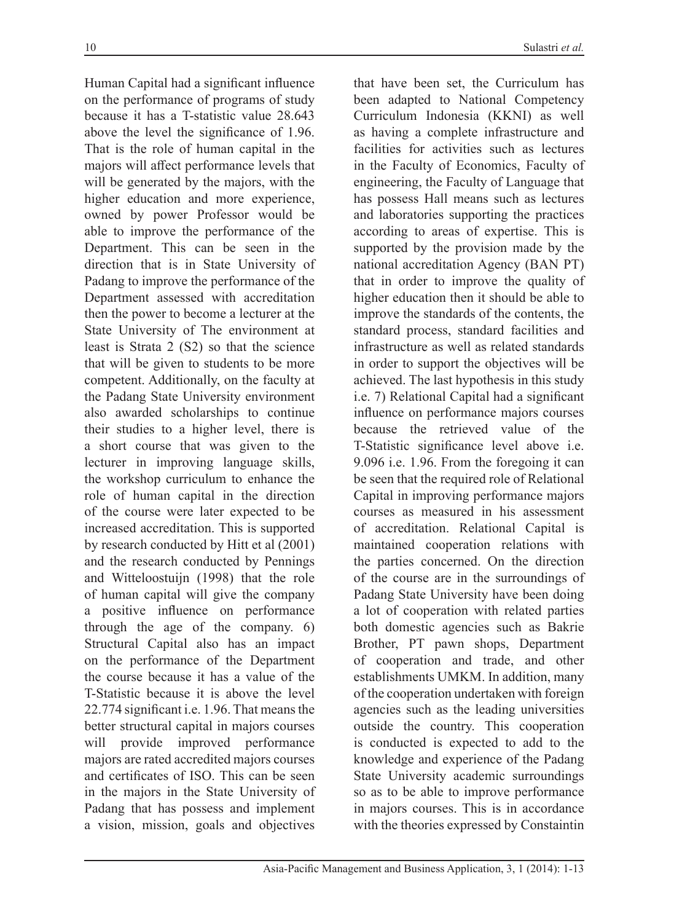Human Capital had a significant influence on the performance of programs of study because it has a T-statistic value 28.643 above the level the significance of 1.96. That is the role of human capital in the majors will affect performance levels that will be generated by the majors, with the higher education and more experience, owned by power Professor would be able to improve the performance of the Department. This can be seen in the direction that is in State University of Padang to improve the performance of the Department assessed with accreditation then the power to become a lecturer at the State University of The environment at least is Strata 2 (S2) so that the science that will be given to students to be more competent. Additionally, on the faculty at the Padang State University environment also awarded scholarships to continue their studies to a higher level, there is a short course that was given to the lecturer in improving language skills, the workshop curriculum to enhance the role of human capital in the direction of the course were later expected to be increased accreditation. This is supported by research conducted by Hitt et al (2001) and the research conducted by Pennings and Witteloostuijn (1998) that the role of human capital will give the company a positive influence on performance through the age of the company. 6) Structural Capital also has an impact on the performance of the Department the course because it has a value of the T-Statistic because it is above the level 22.774 significant i.e. 1.96. That means the better structural capital in majors courses will provide improved performance majors are rated accredited majors courses and certificates of ISO. This can be seen in the majors in the State University of Padang that has possess and implement a vision, mission, goals and objectives

that have been set, the Curriculum has been adapted to National Competency Curriculum Indonesia (KKNI) as well as having a complete infrastructure and facilities for activities such as lectures in the Faculty of Economics, Faculty of engineering, the Faculty of Language that has possess Hall means such as lectures and laboratories supporting the practices according to areas of expertise. This is supported by the provision made by the national accreditation Agency (BAN PT) that in order to improve the quality of higher education then it should be able to improve the standards of the contents, the standard process, standard facilities and infrastructure as well as related standards in order to support the objectives will be achieved. The last hypothesis in this study i.e. 7) Relational Capital had a significant influence on performance majors courses because the retrieved value of the T-Statistic significance level above i.e. 9.096 i.e. 1.96. From the foregoing it can be seen that the required role of Relational Capital in improving performance majors courses as measured in his assessment of accreditation. Relational Capital is maintained cooperation relations with the parties concerned. On the direction of the course are in the surroundings of Padang State University have been doing a lot of cooperation with related parties both domestic agencies such as Bakrie Brother, PT pawn shops, Department of cooperation and trade, and other establishments UMKM. In addition, many of the cooperation undertaken with foreign agencies such as the leading universities outside the country. This cooperation is conducted is expected to add to the knowledge and experience of the Padang State University academic surroundings so as to be able to improve performance in majors courses. This is in accordance with the theories expressed by Constaintin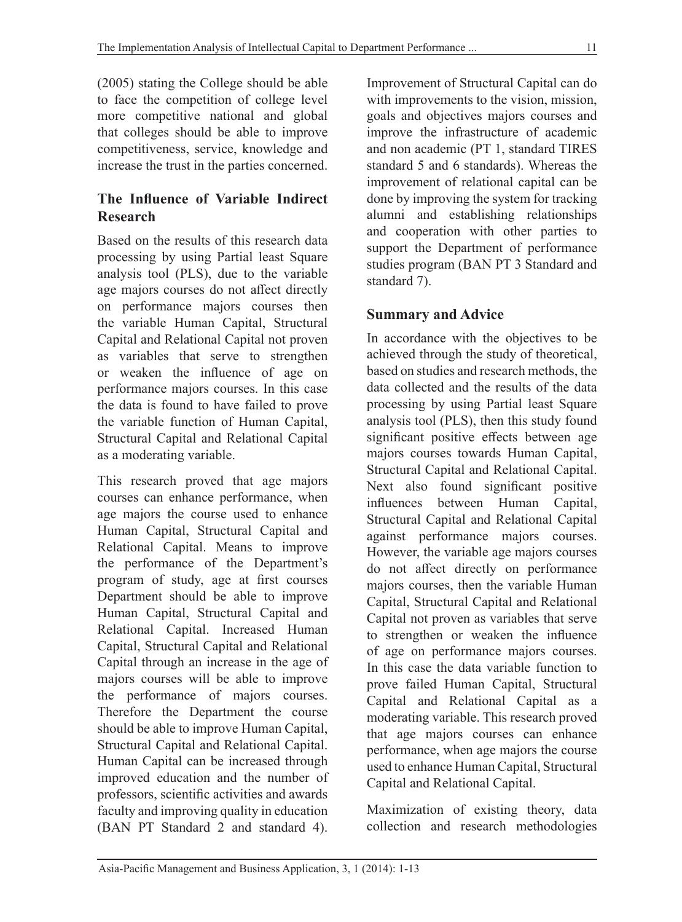(2005) stating the College should be able to face the competition of college level more competitive national and global that colleges should be able to improve competitiveness, service, knowledge and increase the trust in the parties concerned.

## **The Influence of Variable Indirect Research**

Based on the results of this research data processing by using Partial least Square analysis tool (PLS), due to the variable age majors courses do not affect directly on performance majors courses then the variable Human Capital, Structural Capital and Relational Capital not proven as variables that serve to strengthen or weaken the influence of age on performance majors courses. In this case the data is found to have failed to prove the variable function of Human Capital, Structural Capital and Relational Capital as a moderating variable.

This research proved that age majors courses can enhance performance, when age majors the course used to enhance Human Capital, Structural Capital and Relational Capital. Means to improve the performance of the Department's program of study, age at first courses Department should be able to improve Human Capital, Structural Capital and Relational Capital. Increased Human Capital, Structural Capital and Relational Capital through an increase in the age of majors courses will be able to improve the performance of majors courses. Therefore the Department the course should be able to improve Human Capital, Structural Capital and Relational Capital. Human Capital can be increased through improved education and the number of professors, scientific activities and awards faculty and improving quality in education (BAN PT Standard 2 and standard 4). Improvement of Structural Capital can do with improvements to the vision, mission, goals and objectives majors courses and improve the infrastructure of academic and non academic (PT 1, standard TIRES standard 5 and 6 standards). Whereas the improvement of relational capital can be done by improving the system for tracking alumni and establishing relationships and cooperation with other parties to support the Department of performance studies program (BAN PT 3 Standard and standard 7).

## **Summary and Advice**

In accordance with the objectives to be achieved through the study of theoretical, based on studies and research methods, the data collected and the results of the data processing by using Partial least Square analysis tool (PLS), then this study found significant positive effects between age majors courses towards Human Capital, Structural Capital and Relational Capital. Next also found significant positive influences between Human Capital, Structural Capital and Relational Capital against performance majors courses. However, the variable age majors courses do not affect directly on performance majors courses, then the variable Human Capital, Structural Capital and Relational Capital not proven as variables that serve to strengthen or weaken the influence of age on performance majors courses. In this case the data variable function to prove failed Human Capital, Structural Capital and Relational Capital as a moderating variable. This research proved that age majors courses can enhance performance, when age majors the course used to enhance Human Capital, Structural Capital and Relational Capital.

Maximization of existing theory, data collection and research methodologies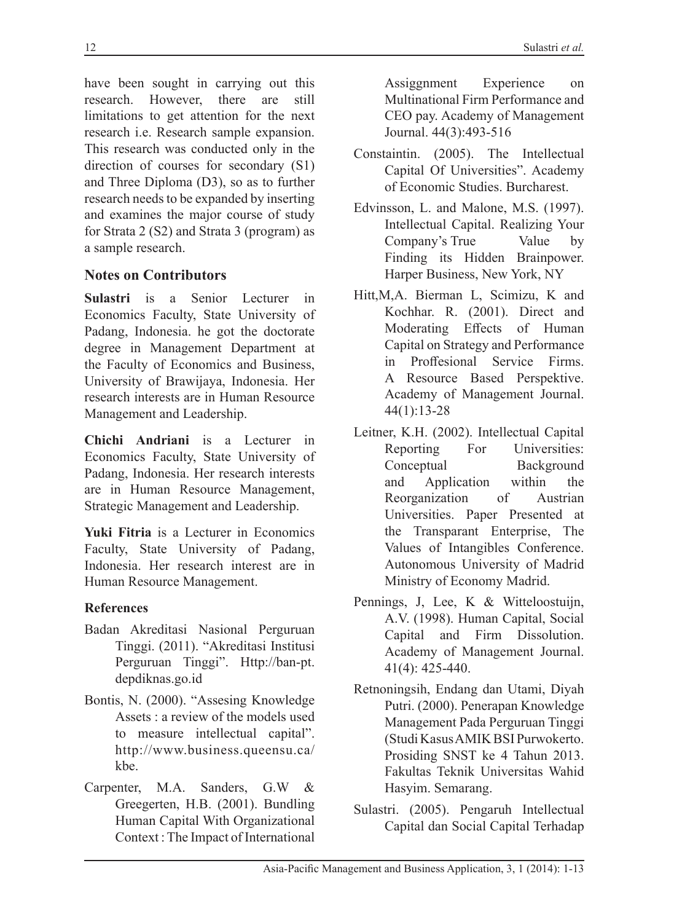have been sought in carrying out this research. However, there are still limitations to get attention for the next research i.e. Research sample expansion. This research was conducted only in the direction of courses for secondary (S1) and Three Diploma (D3), so as to further research needs to be expanded by inserting and examines the major course of study for Strata 2 (S2) and Strata 3 (program) as a sample research.

# **Notes on Contributors**

**Sulastri** is a Senior Lecturer in Economics Faculty, State University of Padang, Indonesia. he got the doctorate degree in Management Department at the Faculty of Economics and Business, University of Brawijaya, Indonesia. Her research interests are in Human Resource Management and Leadership.

**Chichi Andriani** is a Lecturer in Economics Faculty, State University of Padang, Indonesia. Her research interests are in Human Resource Management, Strategic Management and Leadership.

**Yuki Fitria** is a Lecturer in Economics Faculty, State University of Padang, Indonesia. Her research interest are in Human Resource Management.

## **References**

- Badan Akreditasi Nasional Perguruan Tinggi. (2011). "Akreditasi Institusi Perguruan Tinggi". Http://ban-pt. depdiknas.go.id
- Bontis, N. (2000). "Assesing Knowledge Assets : a review of the models used to measure intellectual capital". http://www.business.queensu.ca/ kbe.
- Carpenter, M.A. Sanders, G.W & Greegerten, H.B. (2001). Bundling Human Capital With Organizational Context : The Impact of International

Assiggnment Experience on Multinational Firm Performance and CEO pay. Academy of Management Journal. 44(3):493-516

- Constaintin. (2005). The Intellectual Capital Of Universities". Academy of Economic Studies. Burcharest.
- Edvinsson, L. and Malone, M.S. (1997). Intellectual Capital. Realizing Your Company's True Value by Finding its Hidden Brainpower. Harper Business, New York, NY
- Hitt,M,A. Bierman L, Scimizu, K and Kochhar. R. (2001). Direct and Moderating Effects of Human Capital on Strategy and Performance in Proffesional Service Firms. A Resource Based Perspektive. Academy of Management Journal. 44(1):13-28
- Leitner, K.H. (2002). Intellectual Capital Reporting For Universities: Conceptual Background and Application within the Reorganization of Austrian Universities. Paper Presented at the Transparant Enterprise, The Values of Intangibles Conference. Autonomous University of Madrid Ministry of Economy Madrid.
- Pennings, J, Lee, K & Witteloostuijn, A.V. (1998). Human Capital, Social Capital and Firm Dissolution. Academy of Management Journal. 41(4): 425-440.
- Retnoningsih, Endang dan Utami, Diyah Putri. (2000). Penerapan Knowledge Management Pada Perguruan Tinggi (Studi Kasus AMIK BSI Purwokerto. Prosiding SNST ke 4 Tahun 2013. Fakultas Teknik Universitas Wahid Hasyim. Semarang.
- Sulastri. (2005). Pengaruh Intellectual Capital dan Social Capital Terhadap